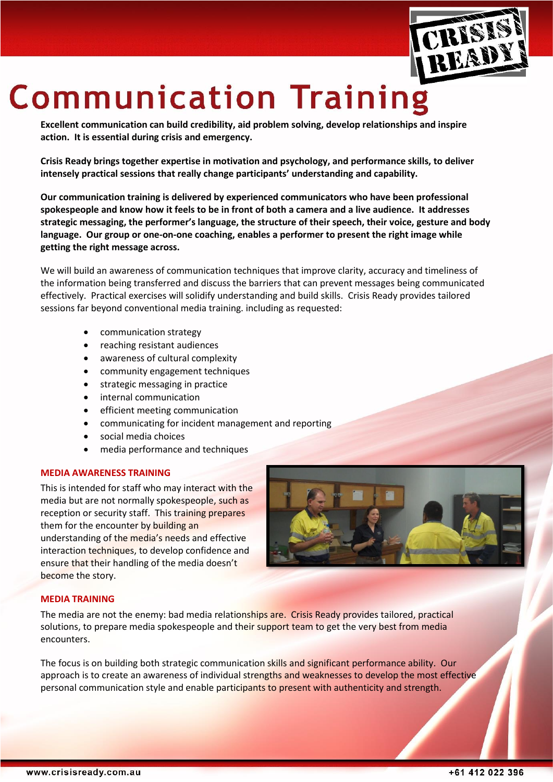

# **Communication Training**

**Excellent communication can build credibility, aid problem solving, develop relationships and inspire action. It is essential during crisis and emergency.** 

**Crisis Ready brings together expertise in motivation and psychology, and performance skills, to deliver intensely practical sessions that really change participants' understanding and capability.** 

**Our communication training is delivered by experienced communicators who have been professional spokespeople and know how it feels to be in front of both a camera and a live audience. It addresses strategic messaging, the performer's language, the structure of their speech, their voice, gesture and body language. Our group or one-on-one coaching, enables a performer to present the right image while getting the right message across.** 

We will build an awareness of communication techniques that improve clarity, accuracy and timeliness of the information being transferred and discuss the barriers that can prevent messages being communicated effectively. Practical exercises will solidify understanding and build skills. Crisis Ready provides tailored sessions far beyond conventional media training. including as requested:

- communication strategy
- reaching resistant audiences
- awareness of cultural complexity
- community engagement techniques
- strategic messaging in practice
- internal communication
- efficient meeting communication
- communicating for incident management and reporting
- social media choices
- media performance and techniques

### **MEDIA AWARENESS TRAINING**

This is intended for staff who may interact with the media but are not normally spokespeople, such as reception or security staff. This training prepares them for the encounter by building an understanding of the media's needs and effective interaction techniques, to develop confidence and ensure that their handling of the media doesn't become the story.



#### **MEDIA TRAINING**

The media are not the enemy: bad media relationships are. Crisis Ready provides tailored, practical solutions, to prepare media spokespeople and their support team to get the very best from media encounters.

The focus is on building both strategic communication skills and significant performance ability. Our approach is to create an awareness of individual strengths and weaknesses to develop the most effective personal communication style and enable participants to present with authenticity and strength.